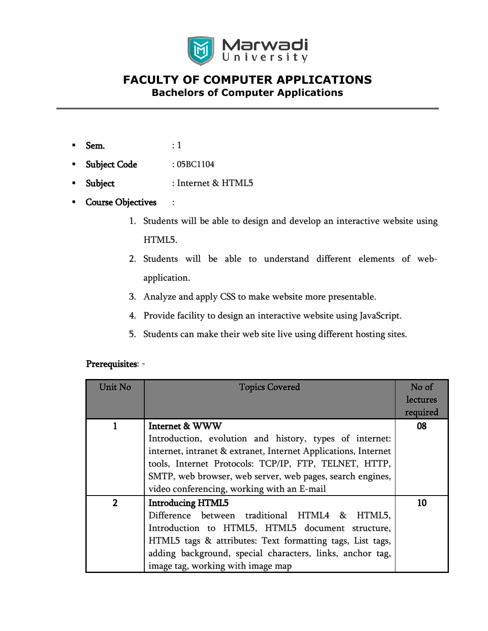

- $Sem.$  : 1
- Subject Code : 05BC1104
- Subject : Internet & HTML5
- Course Objectives :
	- 1. Students will be able to design and develop an interactive website using HTML5.
	- 2. Students will be able to understand different elements of webapplication.
	- 3. Analyze and apply CSS to make website more presentable.
	- 4. Provide facility to design an interactive website using JavaScript.
	- 5. Students can make their web site live using different hosting sites.

#### Prerequisites: -

| Unit No        | <b>Topics Covered</b>                                          | No of<br>lectures |
|----------------|----------------------------------------------------------------|-------------------|
|                |                                                                | required          |
|                | <b>Internet &amp; WWW</b>                                      | 08                |
|                | Introduction, evolution and history, types of internet:        |                   |
|                | internet, intranet & extranet, Internet Applications, Internet |                   |
|                | tools, Internet Protocols: TCP/IP, FTP, TELNET, HTTP,          |                   |
|                | SMTP, web browser, web server, web pages, search engines,      |                   |
|                | video conferencing, working with an E-mail                     |                   |
| $\overline{2}$ | <b>Introducing HTML5</b>                                       | 10                |
|                | Difference between traditional HTML4 &<br>HTML5,               |                   |
|                | Introduction to HTML5, HTML5 document structure,               |                   |
|                | HTML5 tags & attributes: Text formatting tags, List tags,      |                   |
|                | adding background, special characters, links, anchor tag,      |                   |
|                | image tag, working with image map                              |                   |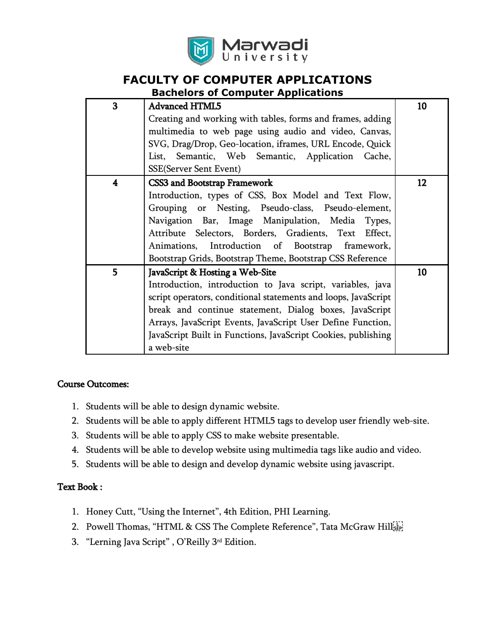

## **FACULTY OF COMPUTER APPLICATIONS**

**Bachelors of Computer Applications**

| 3 | <b>Advanced HTML5</b>                                          | 10 |
|---|----------------------------------------------------------------|----|
|   | Creating and working with tables, forms and frames, adding     |    |
|   | multimedia to web page using audio and video, Canvas,          |    |
|   | SVG, Drag/Drop, Geo-location, iframes, URL Encode, Quick       |    |
|   | List, Semantic, Web Semantic, Application Cache,               |    |
|   | <b>SSE(Server Sent Event)</b>                                  |    |
| 4 | <b>CSS3 and Bootstrap Framework</b>                            | 12 |
|   | Introduction, types of CSS, Box Model and Text Flow,           |    |
|   | Grouping or Nesting, Pseudo-class, Pseudo-element,             |    |
|   | Navigation Bar, Image Manipulation, Media Types,               |    |
|   | Attribute Selectors, Borders, Gradients, Text<br>Effect,       |    |
|   | Animations, Introduction of Bootstrap framework,               |    |
|   | Bootstrap Grids, Bootstrap Theme, Bootstrap CSS Reference      |    |
| 5 | JavaScript & Hosting a Web-Site                                | 10 |
|   | Introduction, introduction to Java script, variables, java     |    |
|   | script operators, conditional statements and loops, JavaScript |    |
|   | break and continue statement, Dialog boxes, JavaScript         |    |
|   | Arrays, JavaScript Events, JavaScript User Define Function,    |    |
|   | JavaScript Built in Functions, JavaScript Cookies, publishing  |    |
|   | a web-site                                                     |    |

#### Course Outcomes:

- 1. Students will be able to design dynamic website.
- 2. Students will be able to apply different HTML5 tags to develop user friendly web-site.
- 3. Students will be able to apply CSS to make website presentable.
- 4. Students will be able to develop website using multimedia tags like audio and video.
- 5. Students will be able to design and develop dynamic website using javascript.

#### Text Book :

- 1. Honey Cutt, "Using the Internet", 4th Edition, PHI Learning.
- 2. Powell Thomas, "HTML & CSS The Complete Reference", Tata McGraw Hill
- 3. "Lerning Java Script" , O'Reilly 3 rd Edition.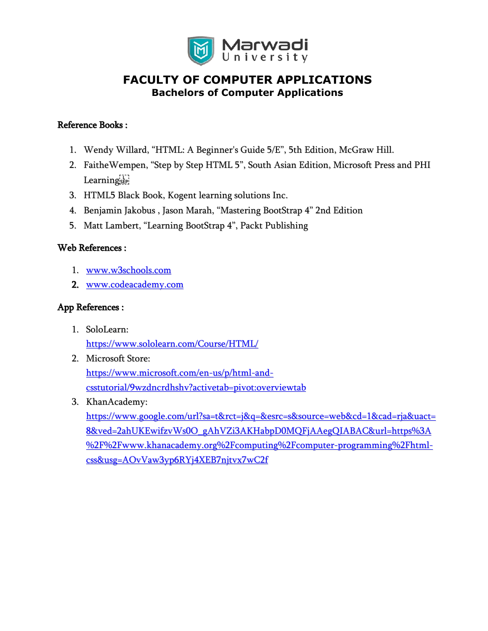

#### Reference Books :

- 1. Wendy Willard, "HTML: A Beginner's Guide 5/E", 5th Edition, McGraw Hill.
- 2. FaitheWempen, "Step by Step HTML 5", South Asian Edition, Microsoft Press and PHI Learnings
- 3. HTML5 Black Book, Kogent learning solutions Inc.
- 4. Benjamin Jakobus , Jason Marah, "Mastering BootStrap 4" 2nd Edition
- 5. Matt Lambert, "Learning BootStrap 4", Packt Publishing

#### Web References :

- 1. [www.w3schools.com](http://www.w3schools.com/)
- 2. [www.codeacademy.com](http://www.codeacademy.com/)

#### App References :

- 1. SoloLearn: <https://www.sololearn.com/Course/HTML/>
- 2. Microsoft Store: [https://www.microsoft.com/en-us/p/html-and](https://www.microsoft.com/en-us/p/html-and-csstutorial/9wzdncrdhshv?activetab=pivot:overviewtab)[csstutorial/9wzdncrdhshv?activetab=pivot:overviewtab](https://www.microsoft.com/en-us/p/html-and-csstutorial/9wzdncrdhshv?activetab=pivot:overviewtab)
- 3. KhanAcademy:

[https://www.google.com/url?sa=t&rct=j&q=&esrc=s&source=web&cd=1&cad=rja&uact=](https://www.google.com/url?sa=t&rct=j&q=&esrc=s&source=web&cd=1&cad=rja&uact=8&ved=2ahUKEwifzvWs0O_gAhVZi3AKHabpD0MQFjAAegQIABAC&url=https%3A%2F%2Fwww.khanacademy.org%2Fcomputing%2Fcomputer-programming%2Fhtml-css&usg=AOvVaw3yp6RYj4XEB7njtvx7wC2f) [8&ved=2ahUKEwifzvWs0O\\_gAhVZi3AKHabpD0MQFjAAegQIABAC&url=https%3A](https://www.google.com/url?sa=t&rct=j&q=&esrc=s&source=web&cd=1&cad=rja&uact=8&ved=2ahUKEwifzvWs0O_gAhVZi3AKHabpD0MQFjAAegQIABAC&url=https%3A%2F%2Fwww.khanacademy.org%2Fcomputing%2Fcomputer-programming%2Fhtml-css&usg=AOvVaw3yp6RYj4XEB7njtvx7wC2f) [%2F%2Fwww.khanacademy.org%2Fcomputing%2Fcomputer-programming%2Fhtml](https://www.google.com/url?sa=t&rct=j&q=&esrc=s&source=web&cd=1&cad=rja&uact=8&ved=2ahUKEwifzvWs0O_gAhVZi3AKHabpD0MQFjAAegQIABAC&url=https%3A%2F%2Fwww.khanacademy.org%2Fcomputing%2Fcomputer-programming%2Fhtml-css&usg=AOvVaw3yp6RYj4XEB7njtvx7wC2f)[css&usg=AOvVaw3yp6RYj4XEB7njtvx7wC2f](https://www.google.com/url?sa=t&rct=j&q=&esrc=s&source=web&cd=1&cad=rja&uact=8&ved=2ahUKEwifzvWs0O_gAhVZi3AKHabpD0MQFjAAegQIABAC&url=https%3A%2F%2Fwww.khanacademy.org%2Fcomputing%2Fcomputer-programming%2Fhtml-css&usg=AOvVaw3yp6RYj4XEB7njtvx7wC2f)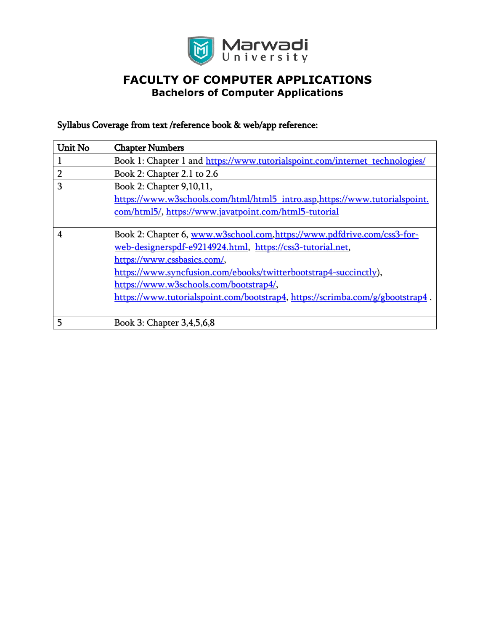

## Syllabus Coverage from text /reference book & web/app reference:

| <b>Unit No</b> | <b>Chapter Numbers</b>                                                        |
|----------------|-------------------------------------------------------------------------------|
|                | Book 1: Chapter 1 and https://www.tutorialspoint.com/internet_technologies/   |
| $\overline{2}$ | Book 2: Chapter 2.1 to 2.6                                                    |
| 3              | Book 2: Chapter 9,10,11,                                                      |
|                | https://www.w3schools.com/html/html5 intro.asp.https://www.tutorialspoint.    |
|                | com/html5/, https://www.javatpoint.com/html5-tutorial                         |
|                |                                                                               |
| $\overline{4}$ | Book 2: Chapter 6, www.w3school.com,https://www.pdfdrive.com/css3-for-        |
|                | web-designerspdf-e9214924.html, https://css3-tutorial.net,                    |
|                | https://www.cssbasics.com/,                                                   |
|                | https://www.syncfusion.com/ebooks/twitterbootstrap4-succinctly),              |
|                | https://www.w3schools.com/bootstrap4/,                                        |
|                | https://www.tutorialspoint.com/bootstrap4, https://scrimba.com/g/gbootstrap4. |
|                |                                                                               |
| 5              | Book 3: Chapter 3,4,5,6,8                                                     |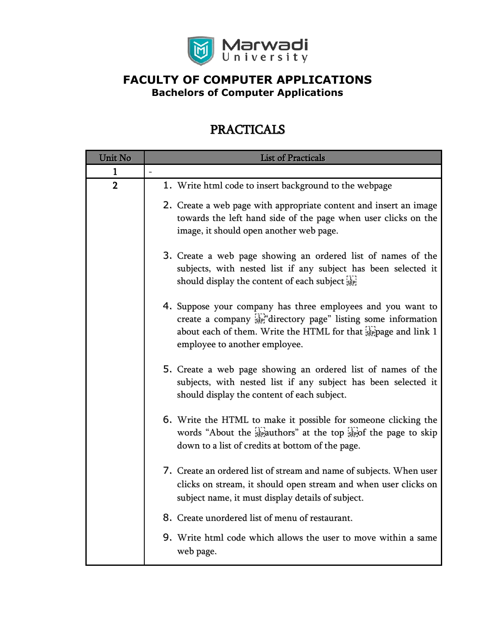

# PRACTICALS

| Unit No                 | <b>List of Practicals</b>                                                                                                                                                                                                        |
|-------------------------|----------------------------------------------------------------------------------------------------------------------------------------------------------------------------------------------------------------------------------|
| 1                       |                                                                                                                                                                                                                                  |
| $\overline{\mathbf{2}}$ | 1. Write html code to insert background to the webpage                                                                                                                                                                           |
|                         | 2. Create a web page with appropriate content and insert an image<br>towards the left hand side of the page when user clicks on the<br>image, it should open another web page.                                                   |
|                         | 3. Create a web page showing an ordered list of names of the<br>subjects, with nested list if any subject has been selected it<br>should display the content of each subject see                                                 |
|                         | 4. Suppose your company has three employees and you want to<br>create a company sepidirectory page" listing some information<br>about each of them. Write the HTML for that steppage and link 1<br>employee to another employee. |
|                         | 5. Create a web page showing an ordered list of names of the<br>subjects, with nested list if any subject has been selected it<br>should display the content of each subject.                                                    |
|                         | 6. Write the HTML to make it possible for someone clicking the<br>words "About the $\frac{1}{25}$ authors" at the top $\frac{1}{25}$ of the page to skip<br>down to a list of credits at bottom of the page.                     |
|                         | 7. Create an ordered list of stream and name of subjects. When user<br>clicks on stream, it should open stream and when user clicks on<br>subject name, it must display details of subject.                                      |
|                         | 8. Create unordered list of menu of restaurant.                                                                                                                                                                                  |
|                         | 9. Write html code which allows the user to move within a same<br>web page.                                                                                                                                                      |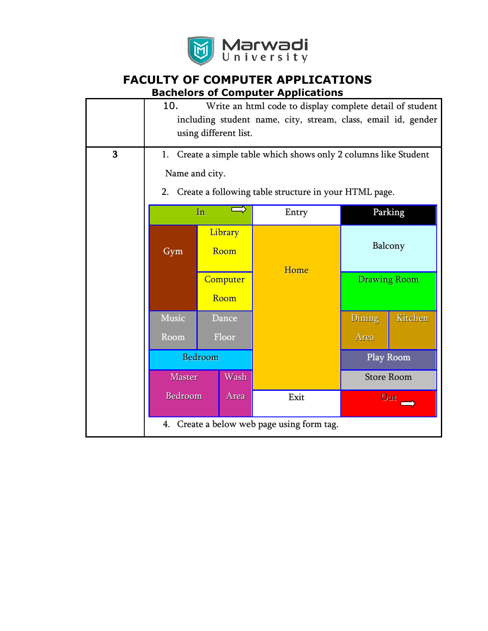

| 3 | 10.<br>Write an html code to display complete detail of student<br>including student name, city, stream, class, email id, gender<br>using different list.<br>1. Create a simple table which shows only 2 columns like Student |                  |                                                       |        |                     |
|---|-------------------------------------------------------------------------------------------------------------------------------------------------------------------------------------------------------------------------------|------------------|-------------------------------------------------------|--------|---------------------|
|   | Name and city.                                                                                                                                                                                                                |                  |                                                       |        |                     |
|   | 2.                                                                                                                                                                                                                            |                  | Create a following table structure in your HTML page. |        |                     |
|   |                                                                                                                                                                                                                               | In               | Entry                                                 |        | Parking             |
|   | Gym                                                                                                                                                                                                                           | Library<br>Room  | Home                                                  |        | Balcony             |
|   |                                                                                                                                                                                                                               | Computer<br>Room |                                                       |        | <b>Drawing Room</b> |
|   | Music                                                                                                                                                                                                                         | Dance            |                                                       | Dining | Kitchen             |
|   | Room                                                                                                                                                                                                                          | Floor            |                                                       | Area   |                     |
|   |                                                                                                                                                                                                                               | Bedroom          |                                                       |        | Play Room           |
|   | <b>Master</b>                                                                                                                                                                                                                 | Wash             |                                                       |        | <b>Store Room</b>   |
|   | Bedroom                                                                                                                                                                                                                       | Area             | Exit                                                  |        | Out                 |
|   | 4. Create a below web page using form tag.                                                                                                                                                                                    |                  |                                                       |        |                     |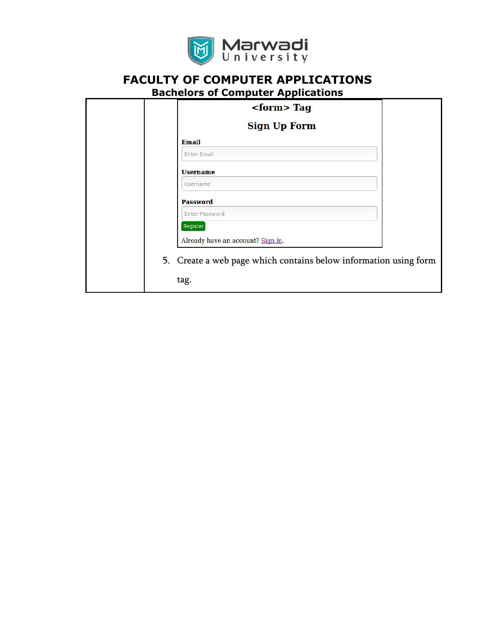

# **FACULTY OF COMPUTER APPLICATIONS**

|  |  |  | <b>Bachelors of Computer Applications</b> |  |
|--|--|--|-------------------------------------------|--|
|  |  |  |                                           |  |
|  |  |  |                                           |  |

| $<$ form> Tag                                                    |  |
|------------------------------------------------------------------|--|
| <b>Sign Up Form</b>                                              |  |
| <b>Email</b>                                                     |  |
| <b>Enter Email</b>                                               |  |
| <b>Username</b>                                                  |  |
| Username                                                         |  |
| <b>Password</b>                                                  |  |
| <b>Enter Password</b>                                            |  |
| Register                                                         |  |
| Already have an account? Sign in.                                |  |
| 5. Create a web page which contains below information using form |  |
| tag.                                                             |  |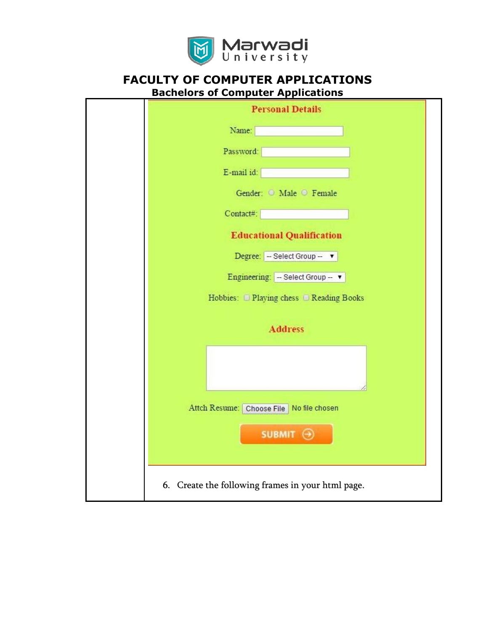

| <b>Personal Details</b>                           |
|---------------------------------------------------|
| Name:                                             |
| Password:                                         |
| E-mail id:                                        |
| Gender: O Male O Female                           |
| Contact#:                                         |
| <b>Educational Qualification</b>                  |
| Degree:   -- Select Group -- ▼                    |
| Engineering: - Select Group -- v                  |
| Hobbies: D Playing chess D Reading Books          |
| <b>Address</b>                                    |
|                                                   |
| Attch Resume: Choose File   No file chosen        |
| SUBMIT <sup>→</sup>                               |
| 6. Create the following frames in your html page. |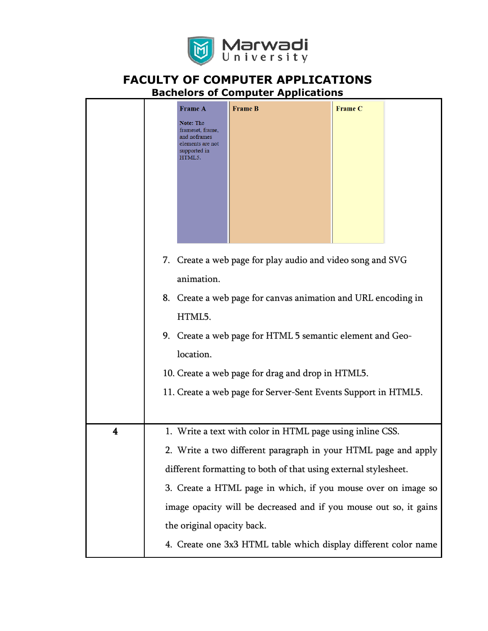

|   | <b>Frame A</b><br><b>Frame C</b><br><b>Frame B</b><br><b>Note:</b> The<br>frameset, frame,<br>and noframes<br>elements are not<br>supported in<br>HTML5.<br>7. Create a web page for play audio and video song and SVG<br>animation.<br>8. Create a web page for canvas animation and URL encoding in<br>HTML5.<br>9. Create a web page for HTML 5 semantic element and Geo-<br>location.<br>10. Create a web page for drag and drop in HTML5.<br>11. Create a web page for Server-Sent Events Support in HTML5. |
|---|------------------------------------------------------------------------------------------------------------------------------------------------------------------------------------------------------------------------------------------------------------------------------------------------------------------------------------------------------------------------------------------------------------------------------------------------------------------------------------------------------------------|
| 4 | 1. Write a text with color in HTML page using inline CSS.                                                                                                                                                                                                                                                                                                                                                                                                                                                        |
|   | 2. Write a two different paragraph in your HTML page and apply                                                                                                                                                                                                                                                                                                                                                                                                                                                   |
|   | different formatting to both of that using external stylesheet.                                                                                                                                                                                                                                                                                                                                                                                                                                                  |
|   | 3. Create a HTML page in which, if you mouse over on image so                                                                                                                                                                                                                                                                                                                                                                                                                                                    |
|   | image opacity will be decreased and if you mouse out so, it gains                                                                                                                                                                                                                                                                                                                                                                                                                                                |
|   | the original opacity back.                                                                                                                                                                                                                                                                                                                                                                                                                                                                                       |
|   | 4. Create one 3x3 HTML table which display different color name                                                                                                                                                                                                                                                                                                                                                                                                                                                  |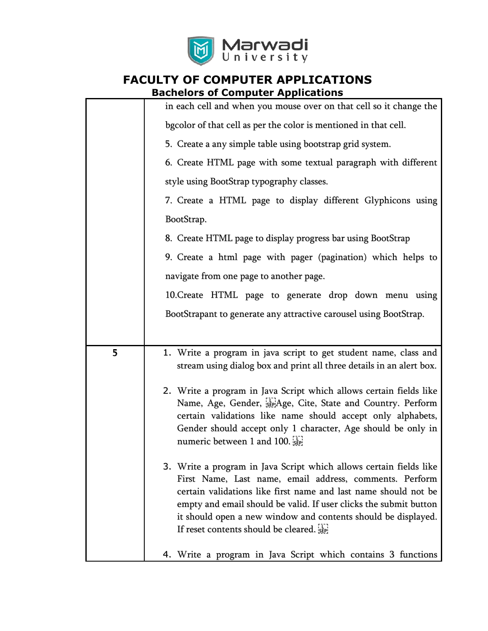

|   | in each cell and when you mouse over on that cell so it change the                                                                                                                                                                                                                                                                                                             |
|---|--------------------------------------------------------------------------------------------------------------------------------------------------------------------------------------------------------------------------------------------------------------------------------------------------------------------------------------------------------------------------------|
|   | bgcolor of that cell as per the color is mentioned in that cell.                                                                                                                                                                                                                                                                                                               |
|   | 5. Create a any simple table using bootstrap grid system.                                                                                                                                                                                                                                                                                                                      |
|   | 6. Create HTML page with some textual paragraph with different                                                                                                                                                                                                                                                                                                                 |
|   | style using BootStrap typography classes.                                                                                                                                                                                                                                                                                                                                      |
|   | 7. Create a HTML page to display different Glyphicons using                                                                                                                                                                                                                                                                                                                    |
|   | BootStrap.                                                                                                                                                                                                                                                                                                                                                                     |
|   | 8. Create HTML page to display progress bar using BootStrap                                                                                                                                                                                                                                                                                                                    |
|   | 9. Create a html page with pager (pagination) which helps to                                                                                                                                                                                                                                                                                                                   |
|   | navigate from one page to another page.                                                                                                                                                                                                                                                                                                                                        |
|   | 10. Create HTML page to generate drop down menu using                                                                                                                                                                                                                                                                                                                          |
|   | BootStrapant to generate any attractive carousel using BootStrap.                                                                                                                                                                                                                                                                                                              |
|   |                                                                                                                                                                                                                                                                                                                                                                                |
| 5 | 1. Write a program in java script to get student name, class and<br>stream using dialog box and print all three details in an alert box.                                                                                                                                                                                                                                       |
|   | 2. Write a program in Java Script which allows certain fields like<br>Name, Age, Gender, Replage, Cite, State and Country. Perform<br>certain validations like name should accept only alphabets,<br>Gender should accept only 1 character, Age should be only in<br>numeric between 1 and 100.                                                                                |
|   | 3. Write a program in Java Script which allows certain fields like<br>First Name, Last name, email address, comments. Perform<br>certain validations like first name and last name should not be<br>empty and email should be valid. If user clicks the submit button<br>it should open a new window and contents should be displayed.<br>If reset contents should be cleared. |
|   | 4. Write a program in Java Script which contains 3 functions                                                                                                                                                                                                                                                                                                                   |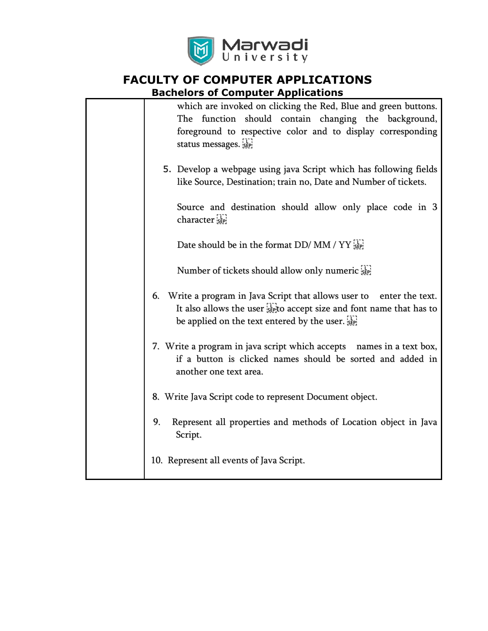

| which are invoked on clicking the Red, Blue and green buttons.<br>The function should contain changing the background,<br>foreground to respective color and to display corresponding<br>status messages. |
|-----------------------------------------------------------------------------------------------------------------------------------------------------------------------------------------------------------|
| 5. Develop a webpage using java Script which has following fields<br>like Source, Destination; train no, Date and Number of tickets.                                                                      |
| Source and destination should allow only place code in 3<br>character see                                                                                                                                 |
| Date should be in the format DD/ MM / YY                                                                                                                                                                  |
| Number of tickets should allow only numeric see                                                                                                                                                           |
| 6. Write a program in Java Script that allows user to enter the text.<br>It also allows the user $\frac{1}{25}$ to accept size and font name that has to<br>be applied on the text entered by the user.   |
| 7. Write a program in java script which accepts names in a text box,<br>if a button is clicked names should be sorted and added in<br>another one text area.                                              |
| 8. Write Java Script code to represent Document object.                                                                                                                                                   |
| 9.<br>Represent all properties and methods of Location object in Java<br>Script.                                                                                                                          |
| 10. Represent all events of Java Script.                                                                                                                                                                  |